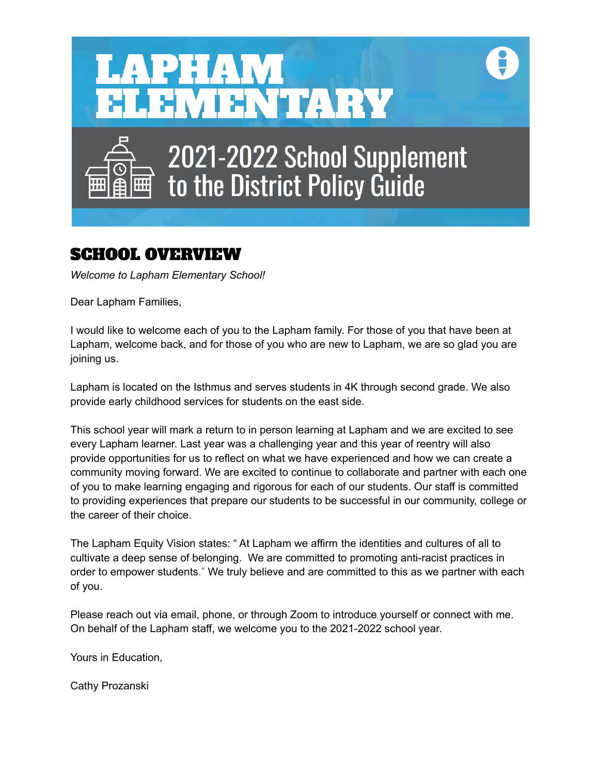

# SCHOOL OVERVIEW

*Welcome to Lapham Elementary School!*

Dear Lapham Families,

I would like to welcome each of you to the Lapham family. For those of you that have been at Lapham, welcome back, and for those of you who are new to Lapham, we are so glad you are joining us.

Lapham is located on the Isthmus and serves students in 4K through second grade. We also provide early childhood services for students on the east side.

This school year will mark a return to in person learning at Lapham and we are excited to see every Lapham learner. Last year was a challenging year and this year of reentry will also provide opportunities for us to reflect on what we have experienced and how we can create a community moving forward. We are excited to continue to collaborate and partner with each one of you to make learning engaging and rigorous for each of our students. Our staff is committed to providing experiences that prepare our students to be successful in our community, college or the career of their choice.

The Lapham Equity Vision states: " At Lapham we affirm the identities and cultures of all to cultivate a deep sense of belonging. We are committed to promoting anti-racist practices in order to empower students." We truly believe and are committed to this as we partner with each of you.

Please reach out via email, phone, or through Zoom to introduce yourself or connect with me. On behalf of the Lapham staff, we welcome you to the 2021-2022 school year.

Yours in Education,

Cathy Prozanski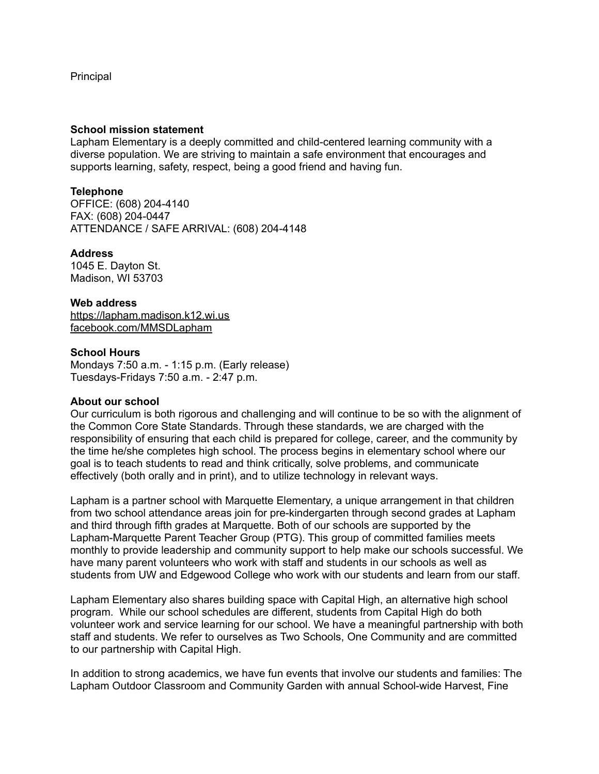Principal

#### **School mission statement**

Lapham Elementary is a deeply committed and child-centered learning community with a diverse population. We are striving to maintain a safe environment that encourages and supports learning, safety, respect, being a good friend and having fun.

## **Telephone**

OFFICE: (608) 204-4140 FAX: (608) 204-0447 ATTENDANCE / SAFE ARRIVAL: (608) 204-4148

## **Address**

1045 E. Dayton St. Madison, WI 53703

## **Web address**

<https://lapham.madison.k12.wi.us> [facebook.com/MMSDLapham](http://facebook.com/MMSDLapham)

## **School Hours**

Mondays 7:50 a.m. - 1:15 p.m. (Early release) Tuesdays-Fridays 7:50 a.m. - 2:47 p.m.

## **About our school**

Our curriculum is both rigorous and challenging and will continue to be so with the alignment of the Common Core State Standards. Through these standards, we are charged with the responsibility of ensuring that each child is prepared for college, career, and the community by the time he/she completes high school. The process begins in elementary school where our goal is to teach students to read and think critically, solve problems, and communicate effectively (both orally and in print), and to utilize technology in relevant ways.

Lapham is a partner school with Marquette Elementary, a unique arrangement in that children from two school attendance areas join for pre-kindergarten through second grades at Lapham and third through fifth grades at Marquette. Both of our schools are supported by the Lapham-Marquette Parent Teacher Group (PTG). This group of committed families meets monthly to provide leadership and community support to help make our schools successful. We have many parent volunteers who work with staff and students in our schools as well as students from UW and Edgewood College who work with our students and learn from our staff.

Lapham Elementary also shares building space with Capital High, an alternative high school program. While our school schedules are different, students from Capital High do both volunteer work and service learning for our school. We have a meaningful partnership with both staff and students. We refer to ourselves as Two Schools, One Community and are committed to our partnership with Capital High.

In addition to strong academics, we have fun events that involve our students and families: The Lapham Outdoor Classroom and Community Garden with annual School-wide Harvest, Fine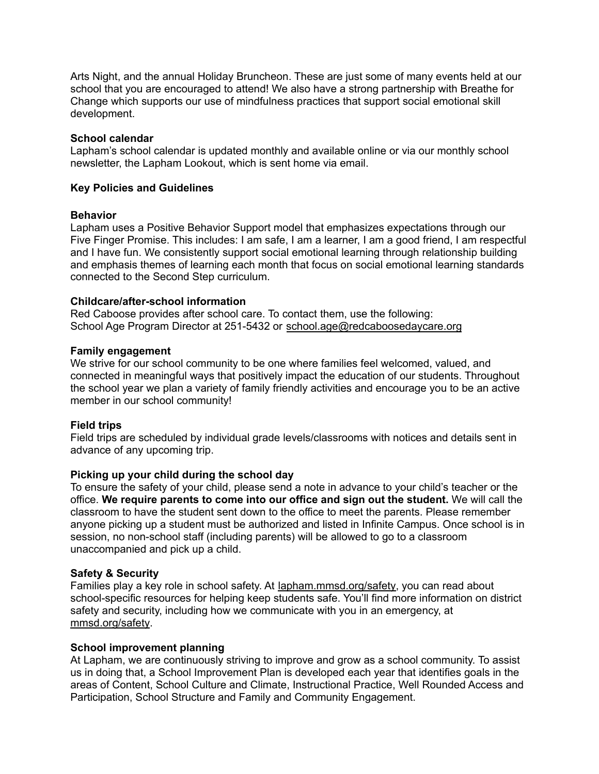Arts Night, and the annual Holiday Bruncheon. These are just some of many events held at our school that you are encouraged to attend! We also have a strong partnership with Breathe for Change which supports our use of mindfulness practices that support social emotional skill development.

## **School calendar**

Lapham's school calendar is updated monthly and available online or via our monthly school newsletter, the Lapham Lookout, which is sent home via email.

## **Key Policies and Guidelines**

## **Behavior**

Lapham uses a Positive Behavior Support model that emphasizes expectations through our Five Finger Promise. This includes: I am safe, I am a learner, I am a good friend, I am respectful and I have fun. We consistently support social emotional learning through relationship building and emphasis themes of learning each month that focus on social emotional learning standards connected to the Second Step curriculum.

## **Childcare/after-school information**

Red Caboose provides after school care. To contact them, use the following: School Age Program Director at 251-5432 or [school.age@redcaboosedaycare.org](mailto:school.age@redcaboosedaycare.org)

## **Family engagement**

We strive for our school community to be one where families feel welcomed, valued, and connected in meaningful ways that positively impact the education of our students. Throughout the school year we plan a variety of family friendly activities and encourage you to be an active member in our school community!

# **Field trips**

Field trips are scheduled by individual grade levels/classrooms with notices and details sent in advance of any upcoming trip.

# **Picking up your child during the school day**

To ensure the safety of your child, please send a note in advance to your child's teacher or the office. **We require parents to come into our office and sign out the student.** We will call the classroom to have the student sent down to the office to meet the parents. Please remember anyone picking up a student must be authorized and listed in Infinite Campus. Once school is in session, no non-school staff (including parents) will be allowed to go to a classroom unaccompanied and pick up a child.

## **Safety & Security**

Families play a key role in school safety. At [lapham.mmsd.org/safety,](http://lapham.mmsd.org/safety) you can read about school-specific resources for helping keep students safe. You'll find more information on district safety and security, including how we communicate with you in an emergency, at [mmsd.org/safety](http://mmsd.org/safety).

## **School improvement planning**

At Lapham, we are continuously striving to improve and grow as a school community. To assist us in doing that, a School Improvement Plan is developed each year that identifies goals in the areas of Content, School Culture and Climate, Instructional Practice, Well Rounded Access and Participation, School Structure and Family and Community Engagement.